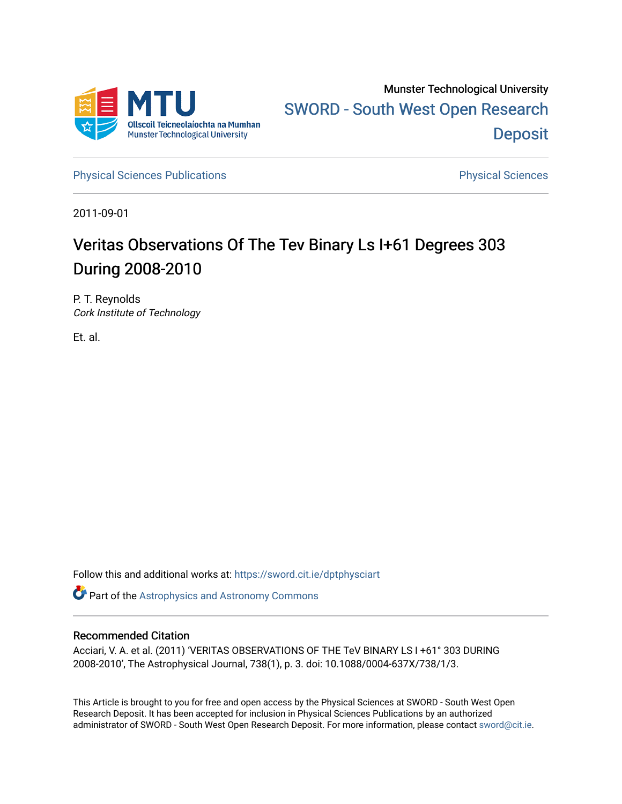

[Physical Sciences Publications](https://sword.cit.ie/dptphysciart) **Physical Sciences** Physical Sciences

2011-09-01

# Veritas Observations Of The Tev Binary Ls I+61 Degrees 303 During 2008-2010

P. T. Reynolds Cork Institute of Technology

Et. al.

Follow this and additional works at: [https://sword.cit.ie/dptphysciart](https://sword.cit.ie/dptphysciart?utm_source=sword.cit.ie%2Fdptphysciart%2F62&utm_medium=PDF&utm_campaign=PDFCoverPages)

Part of the [Astrophysics and Astronomy Commons](http://network.bepress.com/hgg/discipline/123?utm_source=sword.cit.ie%2Fdptphysciart%2F62&utm_medium=PDF&utm_campaign=PDFCoverPages) 

## Recommended Citation

Acciari, V. A. et al. (2011) 'VERITAS OBSERVATIONS OF THE TeV BINARY LS I +61° 303 DURING 2008-2010', The Astrophysical Journal, 738(1), p. 3. doi: 10.1088/0004-637X/738/1/3.

This Article is brought to you for free and open access by the Physical Sciences at SWORD - South West Open Research Deposit. It has been accepted for inclusion in Physical Sciences Publications by an authorized administrator of SWORD - South West Open Research Deposit. For more information, please contact [sword@cit.ie.](mailto:sword@cit.ie)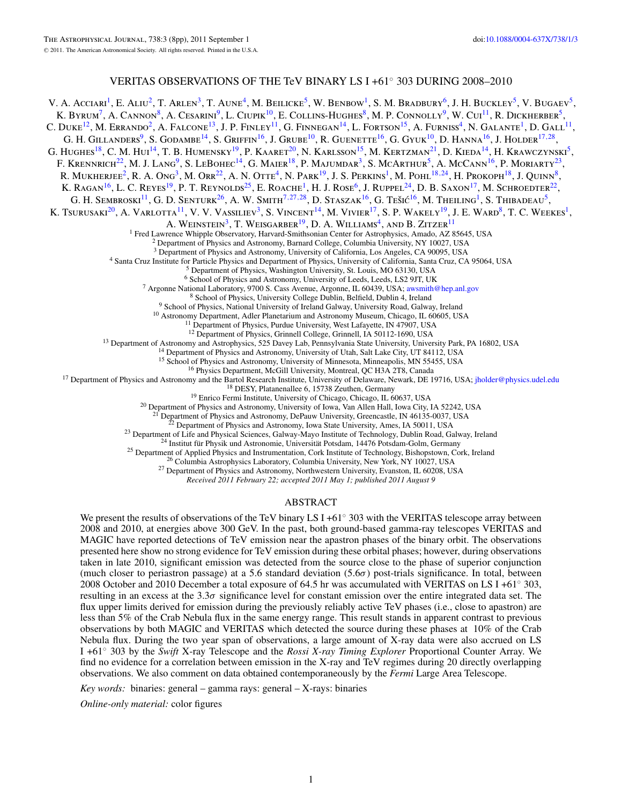## VERITAS OBSERVATIONS OF THE TeV BINARY LS I +61◦ 303 DURING 2008–2010

V. A. Acciari<sup>1</sup>, E. Aliu<sup>2</sup>, T. Arlen<sup>3</sup>, T. Aune<sup>4</sup>, M. Beilicke<sup>5</sup>, W. Benbow<sup>1</sup>, S. M. Bradbury<sup>6</sup>, J. H. Buckley<sup>5</sup>, V. Bugaev<sup>5</sup>, K. BYRUM<sup>7</sup>, A. CANNON<sup>8</sup>, A. CESARINI<sup>9</sup>, L. CIUPIK<sup>10</sup>, E. COLLINS-HUGHES<sup>8</sup>, M. P. CONNOLLY<sup>9</sup>, W. CUI<sup>11</sup>, R. DICKHERBER<sup>5</sup>, C. DUKE<sup>12</sup>, M. ERRANDO<sup>2</sup>, A. FALCONE<sup>13</sup>, J. P. FINLEY<sup>11</sup>, G. FINNEGAN<sup>14</sup>, L. FORTSON<sup>15</sup>, A. FURNISS<sup>4</sup>, N. GALANTE<sup>1</sup>, D. GALL<sup>11</sup>, G. H. GILLANDERS<sup>9</sup>, S. GODAMBE<sup>14</sup>, S. GRIFFIN<sup>16</sup>, J. GRUBE<sup>10</sup>, R. GUENETTE<sup>16</sup>, G. GYUK<sup>10</sup>, D. HANNA<sup>16</sup>, J. HOLDER<sup>17,[28](#page-2-0)</sup>, G. HUGHES<sup>18</sup>, C. M. HUI<sup>14</sup>, T. B. HUMENSKY<sup>19</sup>, P. KAARET<sup>20</sup>, N. KARLSSON<sup>15</sup>, M. KERTZMAN<sup>21</sup>, D. KIEDA<sup>14</sup>, H. KRAWCZYNSKI<sup>5</sup>, F. KRENNRICH<sup>22</sup>, M. J. LANG<sup>9</sup>, S. LEBOHEC<sup>14</sup>, G. MAIER<sup>18</sup>, P. MAJUMDAR<sup>3</sup>, S. MCARTHUR<sup>5</sup>, A. McCANN<sup>16</sup>, P. MORIARTY<sup>23</sup>, R. MUKHERJEE<sup>2</sup>, R. A. Ong<sup>3</sup>, M. Orr<sup>22</sup>, A. N. Otte<sup>4</sup>, N. Park<sup>19</sup>, J. S. Perkins<sup>1</sup>, M. Pohl<sup>18,24</sup>, H. Prokoph<sup>18</sup>, J. Quinn<sup>8</sup>, K. RAGAN<sup>16</sup>, L. C. REYES<sup>19</sup>, P. T. REYNOLDS<sup>25</sup>, E. ROACHE<sup>1</sup>, H. J. ROSE<sup>6</sup>, J. RUPPEL<sup>24</sup>, D. B. SAXON<sup>17</sup>, M. SCHROEDTER<sup>22</sup>, G. H. SEMBROSKI<sup>11</sup>, G. D. SENTURK<sup>26</sup>, A. W. SMITH<sup>7,27,28</sup>, D. STASZAK<sup>16</sup>, G. TEŠIĆ<sup>16</sup>, M. THEILING<sup>1</sup>, S. THIBADEAU<sup>5</sup>, K. TSURUSAKI<sup>20</sup>, A. VARLOTTA<sup>11</sup>, V. V. VASSILIEV<sup>3</sup>, S. VINCENT<sup>14</sup>, M. VIVIER<sup>17</sup>, S. P. WAKELY<sup>19</sup>, J. E. WARD<sup>8</sup>, T. C. WEEKES<sup>1</sup>, A. WEINSTEIN<sup>3</sup>, T. WEISGARBER<sup>19</sup>, D. A. WILLIAMS<sup>4</sup>, AND B. ZITZER<sup>11</sup> <sup>1</sup> Fred Lawrence Whipple Observatory, Harvard-Smithsonian Center for Astrophysics, Amado, AZ 85645, USA <sup>2</sup> Department of Physics and Astronomy, Barnard College, Columbia University, NY 10027, USA <sup>3</sup> Department of Physi <sup>4</sup> Santa Cruz Institute for Particle Physics and Department of Physics, University of California, Santa Cruz, CA 95064, USA<br><sup>5</sup> Department of Physics, Washington University, St. Louis, MO 63130, USA<br><sup>6</sup> School of Physics <sup>13</sup> Department of Astronomy and Astrophysics, 525 Davey Lab, Pennsylvania State University, University Park, PA 16802, USA<br><sup>14</sup> Department of Physics and Astronomy, University of Utah, Salt Lake City, UT 84112, USA<br><sup>15</sup> <sup>22</sup> Department of Physics and Astronomy, Iowa State University, Ames, IA 50011, USA<br><sup>23</sup> Department of Life and Physical Sciences, Galway-Mayo Institute of Technology, Dublin Road, Galway, Ireland<br><sup>24</sup> Institut für Physi *Received 2011 February 22; accepted 2011 May 1; published 2011 August 9*

## ABSTRACT

We present the results of observations of the TeV binary LS I +61° 303 with the VERITAS telescope array between 2008 and 2010, at energies above 300 GeV. In the past, both ground-based gamma-ray telescopes VERITAS and MAGIC have reported detections of TeV emission near the apastron phases of the binary orbit. The observations presented here show no strong evidence for TeV emission during these orbital phases; however, during observations taken in late 2010, significant emission was detected from the source close to the phase of superior conjunction (much closer to periastron passage) at a 5.6 standard deviation (5.6*σ*) post-trials significance. In total, between 2008 October and 2010 December a total exposure of 64.5 hr was accumulated with VERITAS on LS I +61◦ 303, resulting in an excess at the 3.3*σ* significance level for constant emission over the entire integrated data set. The flux upper limits derived for emission during the previously reliably active TeV phases (i.e., close to apastron) are less than 5% of the Crab Nebula flux in the same energy range. This result stands in apparent contrast to previous observations by both MAGIC and VERITAS which detected the source during these phases at 10% of the Crab Nebula flux. During the two year span of observations, a large amount of X-ray data were also accrued on LS I +61◦ 303 by the *Swift* X-ray Telescope and the *Rossi X-ray Timing Explorer* Proportional Counter Array. We find no evidence for a correlation between emission in the X-ray and TeV regimes during 20 directly overlapping observations. We also comment on data obtained contemporaneously by the *Fermi* Large Area Telescope.

*Key words:* binaries: general – gamma rays: general – X-rays: binaries

*Online-only material:* color figures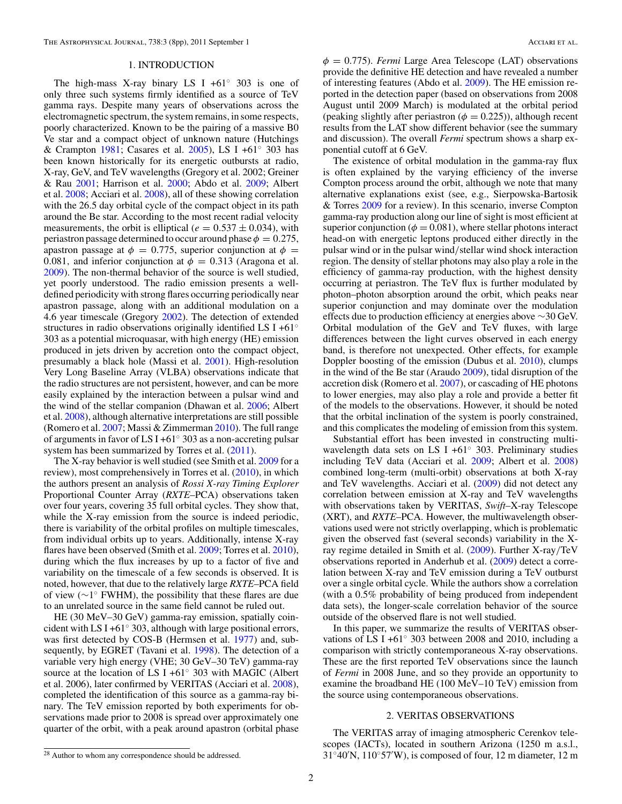<span id="page-2-0"></span>The Astrophysical Journal, 738:3 (8pp), 2011 September 1 Acciari et al.

## 1. INTRODUCTION

The high-mass X-ray binary LS I +61 $\degree$  303 is one of only three such systems firmly identified as a source of TeV gamma rays. Despite many years of observations across the electromagnetic spectrum, the system remains, in some respects, poorly characterized. Known to be the pairing of a massive B0 Ve star and a compact object of unknown nature (Hutchings & Crampton [1981;](#page-8-0) Casares et al. [2005\)](#page-8-0), LS I +61◦ 303 has been known historically for its energetic outbursts at radio, X-ray, GeV, and TeV wavelengths (Gregory et al. 2002; Greiner & Rau [2001;](#page-8-0) Harrison et al. [2000;](#page-8-0) Abdo et al. [2009;](#page-8-0) Albert et al. [2008;](#page-8-0) Acciari et al. [2008\)](#page-8-0), all of these showing correlation with the 26.5 day orbital cycle of the compact object in its path around the Be star. According to the most recent radial velocity measurements, the orbit is elliptical ( $e = 0.537 \pm 0.034$ ), with periastron passage determined to occur around phase  $\phi = 0.275$ , apastron passage at  $\phi = 0.775$ , superior conjunction at  $\phi =$ 0.081, and inferior conjunction at  $\phi = 0.313$  (Aragona et al. [2009\)](#page-8-0). The non-thermal behavior of the source is well studied, yet poorly understood. The radio emission presents a welldefined periodicity with strong flares occurring periodically near apastron passage, along with an additional modulation on a 4.6 year timescale (Gregory [2002\)](#page-8-0). The detection of extended structures in radio observations originally identified LS I +61<sup>°</sup> 303 as a potential microquasar, with high energy (HE) emission produced in jets driven by accretion onto the compact object, presumably a black hole (Massi et al. [2001\)](#page-8-0). High-resolution Very Long Baseline Array (VLBA) observations indicate that the radio structures are not persistent, however, and can be more easily explained by the interaction between a pulsar wind and the wind of the stellar companion (Dhawan et al. [2006;](#page-8-0) Albert et al. [2008\)](#page-8-0), although alternative interpretations are still possible (Romero et al. [2007;](#page-8-0) Massi & Zimmerman [2010\)](#page-8-0). The full range of arguments in favor of LS I +61◦ 303 as a non-accreting pulsar system has been summarized by Torres et al. [\(2011\)](#page-8-0).

The X-ray behavior is well studied (see Smith et al. [2009](#page-8-0) for a review), most comprehensively in Torres et al.  $(2010)$ , in which the authors present an analysis of *Rossi X-ray Timing Explorer* Proportional Counter Array (*RXTE*–PCA) observations taken over four years, covering 35 full orbital cycles. They show that, while the X-ray emission from the source is indeed periodic, there is variability of the orbital profiles on multiple timescales, from individual orbits up to years. Additionally, intense X-ray flares have been observed (Smith et al. [2009;](#page-8-0) Torres et al. [2010\)](#page-8-0), during which the flux increases by up to a factor of five and variability on the timescale of a few seconds is observed. It is noted, however, that due to the relatively large *RXTE*–PCA field of view (∼1◦ FWHM), the possibility that these flares are due to an unrelated source in the same field cannot be ruled out.

HE (30 MeV–30 GeV) gamma-ray emission, spatially coincident with LS I +61 $\degree$  303, although with large positional errors, was first detected by COS-B (Hermsen et al. [1977\)](#page-8-0) and, subsequently, by EGRET (Tavani et al. [1998\)](#page-8-0). The detection of a variable very high energy (VHE; 30 GeV–30 TeV) gamma-ray source at the location of LS I +61◦ 303 with MAGIC (Albert et al. 2006), later confirmed by VERITAS (Acciari et al. [2008\)](#page-8-0), completed the identification of this source as a gamma-ray binary. The TeV emission reported by both experiments for observations made prior to 2008 is spread over approximately one quarter of the orbit, with a peak around apastron (orbital phase

*φ* = 0.775). *Fermi* Large Area Telescope (LAT) observations provide the definitive HE detection and have revealed a number of interesting features (Abdo et al. [2009\)](#page-8-0). The HE emission reported in the detection paper (based on observations from 2008 August until 2009 March) is modulated at the orbital period (peaking slightly after periastron ( $\phi = 0.225$ )), although recent results from the LAT show different behavior (see the summary and discussion). The overall *Fermi* spectrum shows a sharp exponential cutoff at 6 GeV.

The existence of orbital modulation in the gamma-ray flux is often explained by the varying efficiency of the inverse Compton process around the orbit, although we note that many alternative explanations exist (see, e.g., Sierpowska-Bartosik & Torres [2009](#page-8-0) for a review). In this scenario, inverse Compton gamma-ray production along our line of sight is most efficient at superior conjunction ( $\phi$  = 0.081), where stellar photons interact head-on with energetic leptons produced either directly in the pulsar wind or in the pulsar wind*/*stellar wind shock interaction region. The density of stellar photons may also play a role in the efficiency of gamma-ray production, with the highest density occurring at periastron. The TeV flux is further modulated by photon–photon absorption around the orbit, which peaks near superior conjunction and may dominate over the modulation effects due to production efficiency at energies above ∼30 GeV. Orbital modulation of the GeV and TeV fluxes, with large differences between the light curves observed in each energy band, is therefore not unexpected. Other effects, for example Doppler boosting of the emission (Dubus et al. [2010\)](#page-8-0), clumps in the wind of the Be star (Araudo [2009\)](#page-8-0), tidal disruption of the accretion disk (Romero et al. [2007\)](#page-8-0), or cascading of HE photons to lower energies, may also play a role and provide a better fit of the models to the observations. However, it should be noted that the orbital inclination of the system is poorly constrained, and this complicates the modeling of emission from this system.

Substantial effort has been invested in constructing multiwavelength data sets on LS I +61◦ 303. Preliminary studies including TeV data (Acciari et al. [2009;](#page-8-0) Albert et al. [2008\)](#page-8-0) combined long-term (multi-orbit) observations at both X-ray and TeV wavelengths. Acciari et al. [\(2009\)](#page-8-0) did not detect any correlation between emission at X-ray and TeV wavelengths with observations taken by VERITAS, *Swift*–X-ray Telescope (XRT), and *RXTE*–PCA. However, the multiwavelength observations used were not strictly overlapping, which is problematic given the observed fast (several seconds) variability in the Xray regime detailed in Smith et al. [\(2009\)](#page-8-0). Further X-ray*/*TeV observations reported in Anderhub et al. [\(2009\)](#page-8-0) detect a correlation between X-ray and TeV emission during a TeV outburst over a single orbital cycle. While the authors show a correlation (with a 0.5% probability of being produced from independent data sets), the longer-scale correlation behavior of the source outside of the observed flare is not well studied.

In this paper, we summarize the results of VERITAS observations of LS I +61◦ 303 between 2008 and 2010, including a comparison with strictly contemporaneous X-ray observations. These are the first reported TeV observations since the launch of *Fermi* in 2008 June, and so they provide an opportunity to examine the broadband HE (100 MeV–10 TeV) emission from the source using contemporaneous observations.

## 2. VERITAS OBSERVATIONS

The VERITAS array of imaging atmospheric Cerenkov telescopes (IACTs), located in southern Arizona (1250 m a.s.l., 31◦40 N, 110◦57 W), is composed of four, 12 m diameter, 12 m

 $\overline{^{28}$  Author to whom any correspondence should be addressed.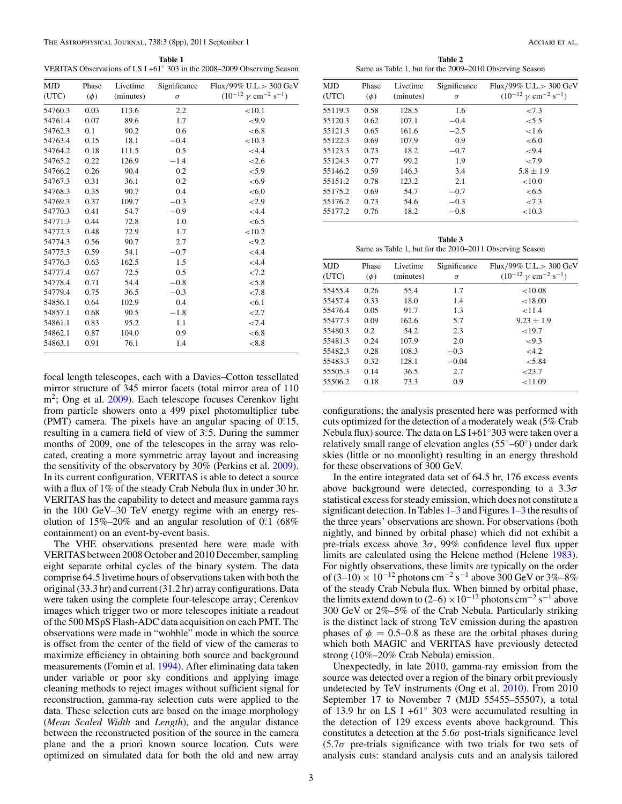**Table 1** VERITAS Observations of LS I +61◦ 303 in the 2008–2009 Observing Season

| MJD     | Phase    | Livetime  | Significance | Flux/99% U.L.> 300 GeV                             |
|---------|----------|-----------|--------------|----------------------------------------------------|
| (UTC)   | $(\phi)$ | (minutes) | $\sigma$     | $(10^{-12} \gamma \text{ cm}^{-2} \text{ s}^{-1})$ |
| 54760.3 | 0.03     | 113.6     | 2.2          | < 10.1                                             |
| 54761.4 | 0.07     | 89.6      | 1.7          | ${<}9.9$                                           |
| 54762.3 | 0.1      | 90.2      | 0.6          | < 6.8                                              |
| 54763.4 | 0.15     | 18.1      | $-0.4$       | < 10.3                                             |
| 54764.2 | 0.18     | 111.5     | 0.5          | < 4.4                                              |
| 54765.2 | 0.22     | 126.9     | $-1.4$       | < 2.6                                              |
| 54766.2 | 0.26     | 90.4      | 0.2          | ${<}5.9$                                           |
| 54767.3 | 0.31     | 36.1      | 0.2          | <6.9                                               |
| 54768.3 | 0.35     | 90.7      | 0.4          | < 6.0                                              |
| 54769.3 | 0.37     | 109.7     | $-0.3$       | < 2.9                                              |
| 54770.3 | 0.41     | 54.7      | $-0.9$       | < 4.4                                              |
| 54771.3 | 0.44     | 72.8      | 1.0          | <6.5                                               |
| 54772.3 | 0.48     | 72.9      | 1.7          | < 10.2                                             |
| 54774.3 | 0.56     | 90.7      | 2.7          | < 9.2                                              |
| 54775.3 | 0.59     | 54.1      | $-0.7$       | < 4.4                                              |
| 54776.3 | 0.63     | 162.5     | 1.5          | < 4.4                                              |
| 54777.4 | 0.67     | 72.5      | 0.5          | ${<}7.2$                                           |
| 54778.4 | 0.71     | 54.4      | $-0.8$       | < 5.8                                              |
| 54779.4 | 0.75     | 36.5      | $-0.3$       | ${<}7.8$                                           |
| 54856.1 | 0.64     | 102.9     | 0.4          | < 6.1                                              |
| 54857.1 | 0.68     | 90.5      | $-1.8$       | < 2.7                                              |
| 54861.1 | 0.83     | 95.2      | 1.1          | ${<}7.4$                                           |
| 54862.1 | 0.87     | 104.0     | 0.9          | < 6.8                                              |
| 54863.1 | 0.91     | 76.1      | 1.4          | < 8.8                                              |

focal length telescopes, each with a Davies–Cotton tessellated mirror structure of 345 mirror facets (total mirror area of 110  $m<sup>2</sup>$ ; Ong et al. [2009\)](#page-8-0). Each telescope focuses Cerenkov light from particle showers onto a 499 pixel photomultiplier tube (PMT) camera. The pixels have an angular spacing of 0*.* ◦15, resulting in a camera field of view of 3°.5. During the summer months of 2009, one of the telescopes in the array was relocated, creating a more symmetric array layout and increasing the sensitivity of the observatory by 30% (Perkins et al. [2009\)](#page-8-0). In its current configuration, VERITAS is able to detect a source with a flux of 1% of the steady Crab Nebula flux in under 30 hr. VERITAS has the capability to detect and measure gamma rays in the 100 GeV–30 TeV energy regime with an energy resolution of  $15\% - 20\%$  and an angular resolution of  $0.1$  (68% containment) on an event-by-event basis.

The VHE observations presented here were made with VERITAS between 2008 October and 2010 December, sampling eight separate orbital cycles of the binary system. The data comprise 64.5 livetime hours of observations taken with both the original (33.3 hr) and current (31.2 hr) array configurations. Data were taken using the complete four-telescope array; Cerenkov images which trigger two or more telescopes initiate a readout of the 500 MSpS Flash-ADC data acquisition on each PMT. The observations were made in "wobble" mode in which the source is offset from the center of the field of view of the cameras to maximize efficiency in obtaining both source and background measurements (Fomin et al. [1994\)](#page-8-0). After eliminating data taken under variable or poor sky conditions and applying image cleaning methods to reject images without sufficient signal for reconstruction, gamma-ray selection cuts were applied to the data. These selection cuts are based on the image morphology (*Mean Scaled Width* and *Length*), and the angular distance between the reconstructed position of the source in the camera plane and the a priori known source location. Cuts were optimized on simulated data for both the old and new array

**Table 2** Same as Table 1, but for the 2009–2010 Observing Season

| <b>MJD</b><br>(UTC) | Phase<br>$(\phi)$ | Livetime<br>(minutes) | Significance<br>$\sigma$ | Flux/99% U.L.> 300 GeV<br>$(10^{-12} \nu \text{ cm}^{-2} \text{ s}^{-1})$ |
|---------------------|-------------------|-----------------------|--------------------------|---------------------------------------------------------------------------|
| 55119.3             | 0.58              | 128.5                 | 1.6                      | ${<}7.3$                                                                  |
| 55120.3             | 0.62              | 107.1                 | $-0.4$                   | ${<}5.5$                                                                  |
| 55121.3             | 0.65              | 161.6                 | $-2.5$                   | ${<}1.6$                                                                  |
| 55122.3             | 0.69              | 107.9                 | 0.9                      | < 6.0                                                                     |
| 55123.3             | 0.73              | 18.2                  | $-0.7$                   | ${<}9.4$                                                                  |
| 55124.3             | 0.77              | 99.2                  | 1.9                      | ${<}7.9$                                                                  |
| 55146.2             | 0.59              | 146.3                 | 3.4                      | $5.8 \pm 1.9$                                                             |
| 55151.2             | 0.78              | 123.2                 | 2.1                      | ${<}10.0$                                                                 |
| 55175.2             | 0.69              | 54.7                  | $-0.7$                   | <6.5                                                                      |
| 55176.2             | 0.73              | 54.6                  | $-0.3$                   | ${<}7.3$                                                                  |
| 55177.2             | 0.76              | 18.2                  | $-0.8$                   | < 10.3                                                                    |

**Table 3** Same as Table 1, but for the 2010–2011 Observing Season

| <b>MJD</b><br>(UTC) | Phase<br>$(\phi)$ | Livetime<br>(minutes) | Significance<br>$\sigma$ | Flux/99% U.L. $>$ 300 GeV<br>$(10^{-12} \nu \text{ cm}^{-2} \text{ s}^{-1})$ |
|---------------------|-------------------|-----------------------|--------------------------|------------------------------------------------------------------------------|
| 55455.4             | 0.26              | 55.4                  | 1.7                      | < 10.08                                                                      |
| 55457.4             | 0.33              | 18.0                  | 1.4                      | < 18.00                                                                      |
| 55476.4             | 0.05              | 91.7                  | 1.3                      | < 11.4                                                                       |
| 55477.3             | 0.09              | 162.6                 | 5.7                      | $9.23 \pm 1.9$                                                               |
| 55480.3             | 0.2               | 54.2                  | 2.3                      | < 19.7                                                                       |
| 55481.3             | 0.24              | 107.9                 | 2.0                      | ${<}9.3$                                                                     |
| 55482.3             | 0.28              | 108.3                 | $-0.3$                   | <4.2                                                                         |
| 55483.3             | 0.32              | 128.1                 | $-0.04$                  | < 5.84                                                                       |
| 55505.3             | 0.14              | 36.5                  | 2.7                      | < 23.7                                                                       |
| 55506.2             | 0.18              | 73.3                  | 0.9                      | < 11.09                                                                      |
|                     |                   |                       |                          |                                                                              |

configurations; the analysis presented here was performed with cuts optimized for the detection of a moderately weak (5% Crab Nebula flux) source. The data on LS I+61◦303 were taken over a relatively small range of elevation angles (55◦–60◦) under dark skies (little or no moonlight) resulting in an energy threshold for these observations of 300 GeV.

In the entire integrated data set of 64.5 hr, 176 excess events above background were detected, corresponding to a 3.3*σ* statistical excess for steady emission, which does not constitute a significant detection. In Tables 1–3 and Figures [1–](#page-4-0)[3](#page-6-0) the results of the three years' observations are shown. For observations (both nightly, and binned by orbital phase) which did not exhibit a pre-trials excess above 3*σ*, 99% confidence level flux upper limits are calculated using the Helene method (Helene [1983\)](#page-8-0). For nightly observations, these limits are typically on the order of (3–10) × 10<sup>-12</sup> photons cm<sup>-2</sup> s<sup>-1</sup> above 300 GeV or 3%–8% of the steady Crab Nebula flux. When binned by orbital phase, the limits extend down to (2–6) × 10<sup>-12</sup> photons cm<sup>-2</sup> s<sup>-1</sup> above 300 GeV or 2%–5% of the Crab Nebula. Particularly striking is the distinct lack of strong TeV emission during the apastron phases of  $\phi = 0.5{\text -}0.8$  as these are the orbital phases during which both MAGIC and VERITAS have previously detected strong (10%–20% Crab Nebula) emission.

Unexpectedly, in late 2010, gamma-ray emission from the source was detected over a region of the binary orbit previously undetected by TeV instruments (Ong et al. [2010\)](#page-8-0). From 2010 September 17 to November 7 (MJD 55455–55507), a total of 13.9 hr on LS I +61◦ 303 were accumulated resulting in the detection of 129 excess events above background. This constitutes a detection at the 5.6*σ* post-trials significance level (5.7*σ* pre-trials significance with two trials for two sets of analysis cuts: standard analysis cuts and an analysis tailored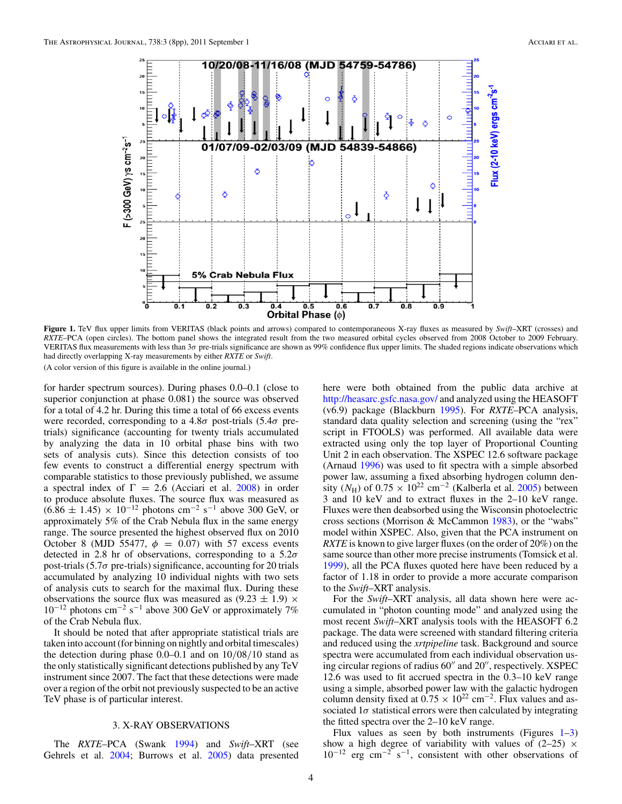<span id="page-4-0"></span>

**Figure 1.** TeV flux upper limits from VERITAS (black points and arrows) compared to contemporaneous X-ray fluxes as measured by *Swift*–XRT (crosses) and *RXTE*–PCA (open circles). The bottom panel shows the integrated result from the two measured orbital cycles observed from 2008 October to 2009 February. VERITAS flux measurements with less than 3*σ* pre-trials significance are shown as 99% confidence flux upper limits. The shaded regions indicate observations which had directly overlapping X-ray measurements by either *RXTE* or *Swift*.

(A color version of this figure is available in the online journal.)

for harder spectrum sources). During phases 0.0–0.1 (close to superior conjunction at phase 0.081) the source was observed for a total of 4.2 hr. During this time a total of 66 excess events were recorded, corresponding to a 4.8*σ* post-trials (5.4*σ* pretrials) significance (accounting for twenty trials accumulated by analyzing the data in 10 orbital phase bins with two sets of analysis cuts). Since this detection consists of too few events to construct a differential energy spectrum with comparable statistics to those previously published, we assume a spectral index of  $\Gamma = 2.6$  (Acciari et al. [2008\)](#page-8-0) in order to produce absolute fluxes. The source flux was measured as  $(6.86 \pm 1.45) \times 10^{-12}$  photons cm<sup>-2</sup> s<sup>-1</sup> above 300 GeV, or approximately 5% of the Crab Nebula flux in the same energy range. The source presented the highest observed flux on 2010 October 8 (MJD 55477,  $\phi = 0.07$ ) with 57 excess events detected in 2.8 hr of observations, corresponding to a 5.2*σ* post-trials  $(5.7\sigma$  pre-trials) significance, accounting for 20 trials accumulated by analyzing 10 individual nights with two sets of analysis cuts to search for the maximal flux. During these observations the source flux was measured as  $(9.23 \pm 1.9) \times$  $10^{-12}$  photons cm<sup>-2</sup> s<sup>-1</sup> above 300 GeV or approximately 7% of the Crab Nebula flux.

It should be noted that after appropriate statistical trials are taken into account (for binning on nightly and orbital timescales) the detection during phase 0.0–0.1 and on 10*/*08*/*10 stand as the only statistically significant detections published by any TeV instrument since 2007. The fact that these detections were made over a region of the orbit not previously suspected to be an active TeV phase is of particular interest.

### 3. X-RAY OBSERVATIONS

The *RXTE*–PCA (Swank [1994\)](#page-8-0) and *Swift*–XRT (see Gehrels et al. [2004;](#page-8-0) Burrows et al. [2005\)](#page-8-0) data presented here were both obtained from the public data archive at <http://heasarc.gsfc.nasa.gov/> and analyzed using the HEASOFT (v6.9) package (Blackburn [1995\)](#page-8-0). For *RXTE*–PCA analysis, standard data quality selection and screening (using the "rex" script in FTOOLS) was performed. All available data were extracted using only the top layer of Proportional Counting Unit 2 in each observation. The XSPEC 12.6 software package (Arnaud [1996\)](#page-8-0) was used to fit spectra with a simple absorbed power law, assuming a fixed absorbing hydrogen column density  $(N_{\rm H})$  of  $0.75 \times 10^{22}$  cm<sup>-2</sup> (Kalberla et al. [2005\)](#page-8-0) between 3 and 10 keV and to extract fluxes in the 2–10 keV range. Fluxes were then deabsorbed using the Wisconsin photoelectric cross sections (Morrison & McCammon [1983\)](#page-8-0), or the "wabs" model within XSPEC. Also, given that the PCA instrument on *RXTE* is known to give larger fluxes (on the order of 20%) on the same source than other more precise instruments (Tomsick et al. [1999\)](#page-8-0), all the PCA fluxes quoted here have been reduced by a factor of 1.18 in order to provide a more accurate comparison to the *Swift*–XRT analysis.

For the *Swift*–XRT analysis, all data shown here were accumulated in "photon counting mode" and analyzed using the most recent *Swift*–XRT analysis tools with the HEASOFT 6.2 package. The data were screened with standard filtering criteria and reduced using the *xrtpipeline* task. Background and source spectra were accumulated from each individual observation using circular regions of radius  $60''$  and  $20''$ , respectively. XSPEC 12.6 was used to fit accrued spectra in the 0.3–10 keV range using a simple, absorbed power law with the galactic hydrogen column density fixed at  $0.75 \times 10^{22}$  cm<sup>-2</sup>. Flux values and associated  $1\sigma$  statistical errors were then calculated by integrating the fitted spectra over the 2–10 keV range.

Flux values as seen by both instruments (Figures  $1-3$ ) show a high degree of variability with values of  $(2-25) \times$  $10^{-12}$  erg cm<sup>-2</sup> s<sup>-1</sup>, consistent with other observations of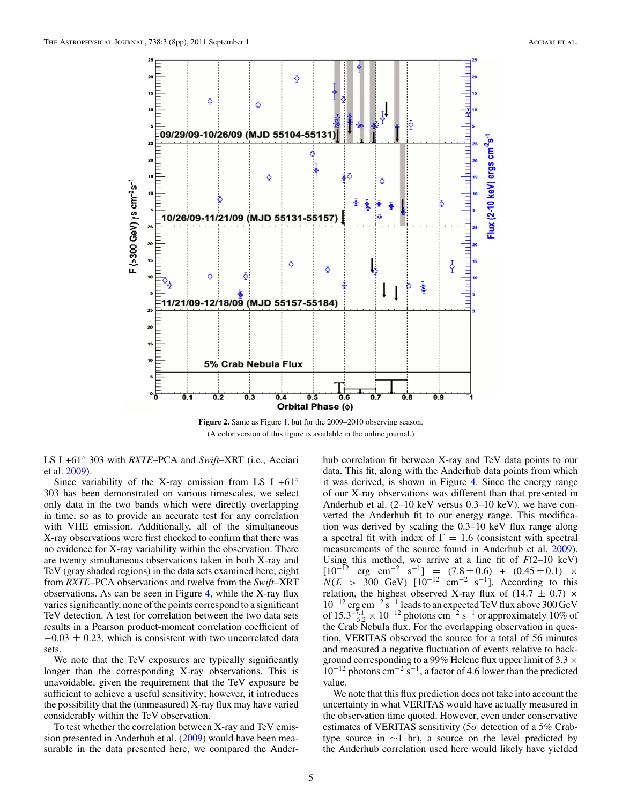

**Figure 2.** Same as Figure [1,](#page-4-0) but for the 2009–2010 observing season. (A color version of this figure is available in the online journal.)

LS I +61◦ 303 with *RXTE*–PCA and *Swift*–XRT (i.e., Acciari et al. [2009\)](#page-8-0).

Since variability of the X-ray emission from LS I +61 $\circ$ 303 has been demonstrated on various timescales, we select only data in the two bands which were directly overlapping in time, so as to provide an accurate test for any correlation with VHE emission. Additionally, all of the simultaneous X-ray observations were first checked to confirm that there was no evidence for X-ray variability within the observation. There are twenty simultaneous observations taken in both X-ray and TeV (gray shaded regions) in the data sets examined here; eight from *RXTE*–PCA observations and twelve from the *Swift*–XRT observations. As can be seen in Figure [4,](#page-6-0) while the X-ray flux varies significantly, none of the points correspond to a significant TeV detection. A test for correlation between the two data sets results in a Pearson product-moment correlation coefficient of  $-0.03 \pm 0.23$ , which is consistent with two uncorrelated data sets.

We note that the TeV exposures are typically significantly longer than the corresponding X-ray observations. This is unavoidable, given the requirement that the TeV exposure be sufficient to achieve a useful sensitivity; however, it introduces the possibility that the (unmeasured) X-ray flux may have varied considerably within the TeV observation.

To test whether the correlation between X-ray and TeV emission presented in Anderhub et al. [\(2009\)](#page-8-0) would have been measurable in the data presented here, we compared the Anderhub correlation fit between X-ray and TeV data points to our data. This fit, along with the Anderhub data points from which it was derived, is shown in Figure [4.](#page-6-0) Since the energy range of our X-ray observations was different than that presented in Anderhub et al. (2–10 keV versus 0.3–10 keV), we have converted the Anderhub fit to our energy range. This modification was derived by scaling the 0.3–10 keV flux range along a spectral fit with index of  $\Gamma = 1.6$  (consistent with spectral measurements of the source found in Anderhub et al. [2009\)](#page-8-0). Using this method, we arrive at a line fit of  $F(2-10 \text{ keV})$  $[10^{-12} \text{ erg } \text{cm}^{-2} \text{ s}^{-1}] = (7.8 \pm 0.6) + (0.45 \pm 0.1) \times$  $N(E > 300 \text{ GeV})$   $[10^{-12} \text{ cm}^{-2} \text{ s}^{-1}]$ . According to this relation, the highest observed X-ray flux of (14.7  $\pm$  0.7)  $\times$  $10^{-12}$  erg cm<sup>-2</sup> s<sup>-1</sup> leads to an expected TeV flux above 300 GeV of  $15.3^{+7.1}_{-5.2} \times 10^{-12}$  photons cm<sup>-2</sup> s<sup>-1</sup> or approximately 10% of the Crab Nebula flux. For the overlapping observation in question, VERITAS observed the source for a total of 56 minutes and measured a negative fluctuation of events relative to background corresponding to a 99% Helene flux upper limit of  $3.3 \times$  $10^{-12}$  photons cm<sup>-2</sup> s<sup>-1</sup>, a factor of 4.6 lower than the predicted value.

We note that this flux prediction does not take into account the uncertainty in what VERITAS would have actually measured in the observation time quoted. However, even under conservative estimates of VERITAS sensitivity (5*σ* detection of a 5% Crabtype source in  $\sim$ 1 hr), a source on the level predicted by the Anderhub correlation used here would likely have yielded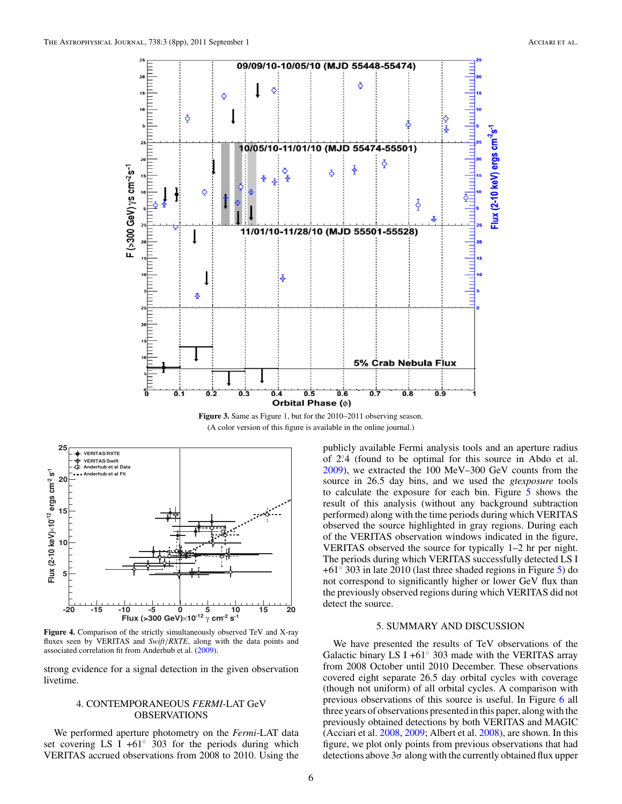<span id="page-6-0"></span>

**Figure 3.** Same as Figure [1,](#page-4-0) but for the 2010–2011 observing season. (A color version of this figure is available in the online journal.)



**Figure 4.** Comparison of the strictly simultaneously observed TeV and X-ray fluxes seen by VERITAS and *Swift/RXTE*, along with the data points and associated correlation fit from Anderhub et al. [\(2009\)](#page-8-0).

strong evidence for a signal detection in the given observation livetime.

## 4. CONTEMPORANEOUS *FERMI*-LAT GeV OBSERVATIONS

We performed aperture photometry on the *Fermi*-LAT data set covering LS I +61 $\degree$  303 for the periods during which VERITAS accrued observations from 2008 to 2010. Using the publicly available Fermi analysis tools and an aperture radius of 2*.* ◦4 (found to be optimal for this source in Abdo et al. [2009\)](#page-8-0), we extracted the 100 MeV–300 GeV counts from the source in 26.5 day bins, and we used the *gtexposure* tools to calculate the exposure for each bin. Figure [5](#page-7-0) shows the result of this analysis (without any background subtraction performed) along with the time periods during which VERITAS observed the source highlighted in gray regions. During each of the VERITAS observation windows indicated in the figure, VERITAS observed the source for typically 1–2 hr per night. The periods during which VERITAS successfully detected LS I +61◦ 303 in late 2010 (last three shaded regions in Figure [5\)](#page-7-0) do not correspond to significantly higher or lower GeV flux than the previously observed regions during which VERITAS did not detect the source.

### 5. SUMMARY AND DISCUSSION

We have presented the results of TeV observations of the Galactic binary LS I +61 $\degree$  303 made with the VERITAS array from 2008 October until 2010 December. These observations covered eight separate 26.5 day orbital cycles with coverage (though not uniform) of all orbital cycles. A comparison with previous observations of this source is useful. In Figure [6](#page-7-0) all three years of observations presented in this paper, along with the previously obtained detections by both VERITAS and MAGIC (Acciari et al. [2008,](#page-8-0) [2009;](#page-8-0) Albert et al. [2008\)](#page-8-0), are shown. In this figure, we plot only points from previous observations that had detections above 3*σ* along with the currently obtained flux upper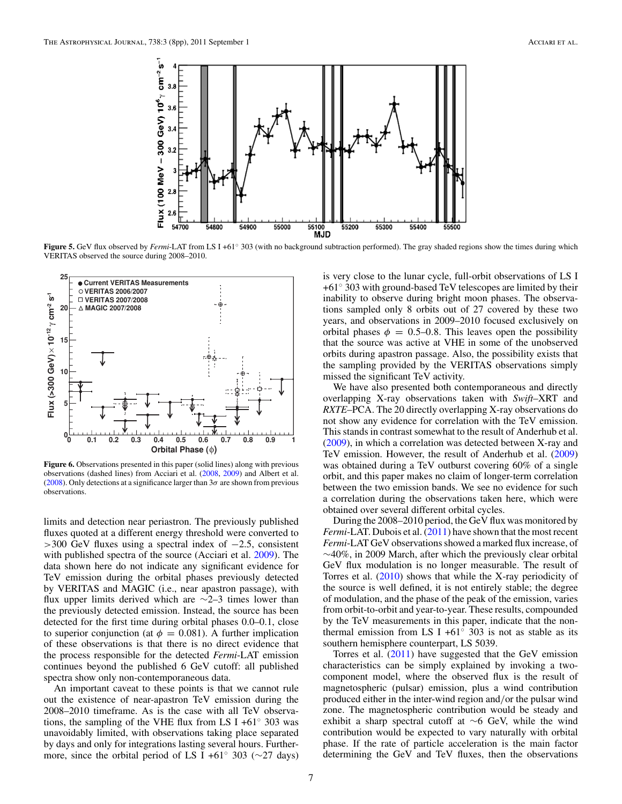<span id="page-7-0"></span>

**Figure 5.** GeV flux observed by *Fermi*-LAT from LS I +61◦ 303 (with no background subtraction performed). The gray shaded regions show the times during which VERITAS observed the source during 2008–2010.



**Figure 6.** Observations presented in this paper (solid lines) along with previous observations (dashed lines) from Acciari et al. [\(2008,](#page-8-0) [2009\)](#page-8-0) and Albert et al. [\(2008\)](#page-8-0). Only detections at a significance larger than  $3\sigma$  are shown from previous observations.

limits and detection near periastron. The previously published fluxes quoted at a different energy threshold were converted to *>*300 GeV fluxes using a spectral index of −2.5, consistent with published spectra of the source (Acciari et al. [2009\)](#page-8-0). The data shown here do not indicate any significant evidence for TeV emission during the orbital phases previously detected by VERITAS and MAGIC (i.e., near apastron passage), with flux upper limits derived which are  $\sim$ 2–3 times lower than the previously detected emission. Instead, the source has been detected for the first time during orbital phases 0.0–0.1, close to superior conjunction (at  $\phi = 0.081$ ). A further implication of these observations is that there is no direct evidence that the process responsible for the detected *Fermi*-LAT emission continues beyond the published 6 GeV cutoff: all published spectra show only non-contemporaneous data.

An important caveat to these points is that we cannot rule out the existence of near-apastron TeV emission during the 2008–2010 timeframe. As is the case with all TeV observations, the sampling of the VHE flux from LS I +61 $\degree$  303 was unavoidably limited, with observations taking place separated by days and only for integrations lasting several hours. Furthermore, since the orbital period of LS I +61° 303 ( $\sim$ 27 days)

is very close to the lunar cycle, full-orbit observations of LS I +61◦ 303 with ground-based TeV telescopes are limited by their inability to observe during bright moon phases. The observations sampled only 8 orbits out of 27 covered by these two years, and observations in 2009–2010 focused exclusively on orbital phases  $\phi = 0.5{\text -}0.8$ . This leaves open the possibility that the source was active at VHE in some of the unobserved orbits during apastron passage. Also, the possibility exists that the sampling provided by the VERITAS observations simply missed the significant TeV activity.

We have also presented both contemporaneous and directly overlapping X-ray observations taken with *Swift*–XRT and *RXTE*–PCA. The 20 directly overlapping X-ray observations do not show any evidence for correlation with the TeV emission. This stands in contrast somewhat to the result of Anderhub et al. [\(2009\)](#page-8-0), in which a correlation was detected between X-ray and TeV emission. However, the result of Anderhub et al. [\(2009\)](#page-8-0) was obtained during a TeV outburst covering 60% of a single orbit, and this paper makes no claim of longer-term correlation between the two emission bands. We see no evidence for such a correlation during the observations taken here, which were obtained over several different orbital cycles.

During the 2008–2010 period, the GeV flux was monitored by *Fermi*-LAT. Dubois et al. [\(2011\)](#page-8-0) have shown that the most recent *Fermi*-LAT GeV observations showed a marked flux increase, of ∼40%, in 2009 March, after which the previously clear orbital GeV flux modulation is no longer measurable. The result of Torres et al. [\(2010\)](#page-8-0) shows that while the X-ray periodicity of the source is well defined, it is not entirely stable; the degree of modulation, and the phase of the peak of the emission, varies from orbit-to-orbit and year-to-year. These results, compounded by the TeV measurements in this paper, indicate that the nonthermal emission from LS I +61 $\degree$  303 is not as stable as its southern hemisphere counterpart, LS 5039.

Torres et al. [\(2011\)](#page-8-0) have suggested that the GeV emission characteristics can be simply explained by invoking a twocomponent model, where the observed flux is the result of magnetospheric (pulsar) emission, plus a wind contribution produced either in the inter-wind region and*/*or the pulsar wind zone. The magnetospheric contribution would be steady and exhibit a sharp spectral cutoff at ∼6 GeV, while the wind contribution would be expected to vary naturally with orbital phase. If the rate of particle acceleration is the main factor determining the GeV and TeV fluxes, then the observations